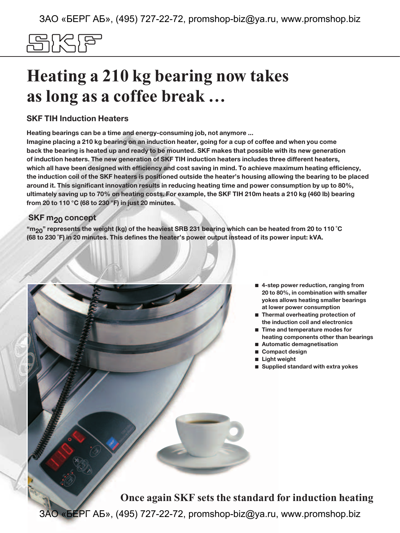# 입사님

# **Heating a 210 kg bearing now takes as long as a coffee break …**

### **SKF TIH Induction Heaters**

**Heating bearings can be a time and energy-consuming job, not anymore ...** 

**Imagine placing a 210 kg bearing on an induction heater, going for a cup of coffee and when you come back the bearing is heated up and ready to be mounted. SKF makes that possible with its new generation of induction heaters. The new generation of SKF TIH induction heaters includes three different heaters, which all have been designed with efficiency and cost saving in mind. To achieve maximum heating efficiency, the induction coil of the SKF heaters is positioned outside the heater's housing allowing the bearing to be placed around it. This significant innovation results in reducing heating time and power consumption by up to 80%, ultimately saving up to 70% on heating costs. For example, the SKF TIH 210m heats a 210 kg (460 lb) bearing from 20 to 110 °C (68 to 230 °F) in just 20 minutes.**

### **SKF m<sub>20</sub> concept**

**"m20" represents the weight (kg) of the heaviest SRB 231 bearing which can be heated from 20 to 110 ˚C (68 to 230 ˚F) in 20 minutes. This defines the heater's power output instead of its power input: kVA.**

- **4-step power reduction, ranging from 20 to 80%, in combination with smaller yokes allows heating smaller bearings at lower power consumption**
- Thermal overheating protection of **the induction coil and electronics**
- **Time and temperature modes for heating components other than bearings**
- **Automatic demagnetisation**
- **Compact design**
- **Light weight**
- **Supplied standard with extra yokes**

**Once again SKF sets the standard for induction heating**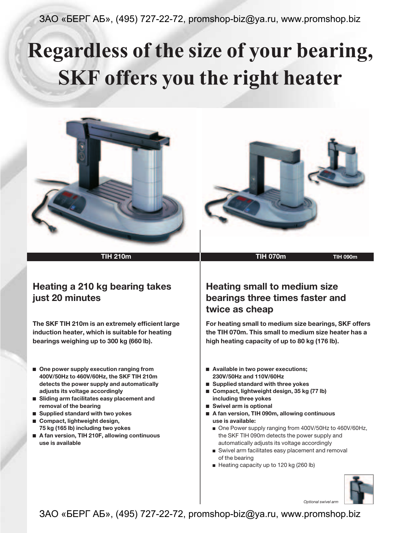# **Regardless of the size of your bearing, SKF offers you the right heater**



## **Heating a 210 kg bearing takes just 20 minutes**

**The SKF TIH 210m is an extremely efficient large induction heater, which is suitable for heating bearings weighing up to 300 kg (660 lb).**

- One power supply execution ranging from **400V/50Hz to 460V/60Hz, the SKF TIH 210m detects the power supply and automatically adjusts its voltage accordingly**
- **Sliding arm facilitates easy placement and removal of the bearing**
- **Supplied standard with two yokes**
- Compact, lightweight design, **75 kg (165 lb) including two yokes**
- A fan version, TIH 210F, allowing continuous **use is available**

## **Heating small to medium size bearings three times faster and twice as cheap**

**For heating small to medium size bearings, SKF offers the TIH 070m. This small to medium size heater has a high heating capacity of up to 80 kg (176 lb).**

- Available in two power executions; **230V/50Hz and 110V/60Hz**
- **Supplied standard with three yokes**
- Compact, lightweight design, 35 kg (77 lb) **including three yokes**
- **Swivel arm is optional**
- **A fan version, TIH 090m, allowing continuous use is available:**
	- One Power supply ranging from 400V/50Hz to 460V/60Hz, the SKF TIH 090m detects the power supply and automatically adjusts its voltage accordingly
	- Swivel arm facilitates easy placement and removal of the bearing
	- Heating capacity up to 120 kg (260 lb)



*Optional swivel arm*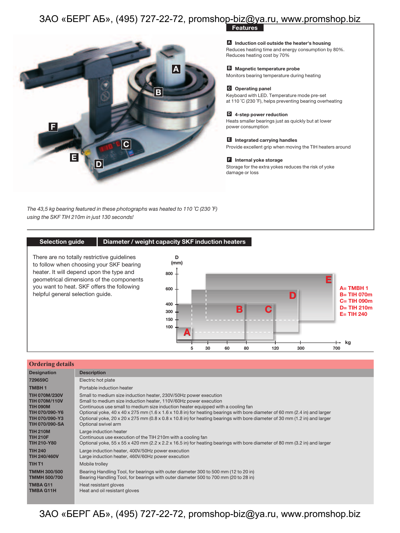

**Features**

**A** Induction coil outside the heater's housing Reduces heating time and energy consumption by 80%. Reduces heating cost by 70%

**Magnetic temperature probe B** Monitors bearing temperature during heating

### **Operating panel C**

Keyboard with LED. Temperature mode pre-set at 110 ˚C (230 ˚F), helps preventing bearing overheating

### **4-step power reduction D**

Heats smaller bearings just as quickly but at lower power consumption

### **Integrated carrying handles E**

Provide excellent grip when moving the TIH heaters around

### **Internal yoke storage F**

Storage for the extra yokes reduces the risk of yoke damage or loss

*The 43,5 kg bearing featured in these photographs was heated to 110 ˚C (230 ˚F) using the SKF TIH 210m in just 130 seconds!*

### **Selection guide Diameter / weight capacity SKF induction heaters**



| <b>Ordering details</b> |                                                                                                                                        |
|-------------------------|----------------------------------------------------------------------------------------------------------------------------------------|
| <b>Designation</b>      | <b>Description</b>                                                                                                                     |
| 729659C                 | Electric hot plate                                                                                                                     |
| <b>TMBH1</b>            | Portable induction heater                                                                                                              |
| <b>TIH 070M/230V</b>    | Small to medium size induction heater, 230V/50Hz power execution                                                                       |
| <b>TIH 070M/110V</b>    | Small to medium size induction heater, 110V/60Hz power execution                                                                       |
| <b>TIH 090M</b>         | Continuous use small to medium size induction heater equipped with a cooling fan                                                       |
| TIH 070/090-Y6          | Optional yoke, $40 \times 40 \times 275$ mm (1.6 x 1.6 x 10.8 in) for heating bearings with bore diameter of 60 mm (2.4 in) and larger |
| TIH 070/090-Y3          | Optional yoke, 20 x 20 x 275 mm (0.8 x 0.8 x 10.8 in) for heating bearings with bore diameter of 30 mm (1.2 in) and larger             |
| <b>TIH 070/090-SA</b>   | Optional swivel arm                                                                                                                    |
| <b>TIH 210M</b>         | Large induction heater                                                                                                                 |
| <b>TIH 210F</b>         | Continuous use execution of the TIH 210m with a cooling fan                                                                            |
| <b>TIH 210-Y80</b>      | Optional yoke, 55 x 55 x 420 mm (2.2 x 2.2 x 16.5 in) for heating bearings with bore diameter of 80 mm (3.2 in) and larger             |
| <b>TIH 240</b>          | Large induction heater, 400V/50Hz power execution                                                                                      |
| <b>TIH 240/460V</b>     | Large induction heater, 460V/60Hz power execution                                                                                      |
| TIH <sub>T1</sub>       | Mobile trolley                                                                                                                         |
| <b>TMMH 300/500</b>     | Bearing Handling Tool, for bearings with outer diameter 300 to 500 mm (12 to 20 in)                                                    |
| <b>TMMH 500/700</b>     | Bearing Handling Tool, for bearings with outer diameter 500 to 700 mm (20 to 28 in)                                                    |
| <b>TMBA G11</b>         | Heat resistant gloves                                                                                                                  |
| <b>TMBA G11H</b>        | Heat and oil resistant gloves                                                                                                          |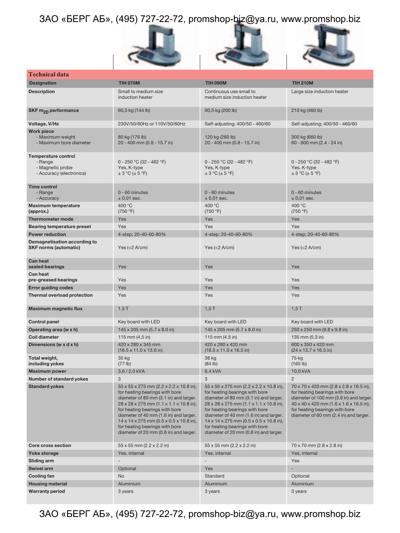





| Technical data                                                                        |                                                                                                                                                                                                                                                                                                                                                                                                                                                                                                                                                                                                                                                                                                                                                                |                                                                       |                                                                                                                                                                                                                                                                      |  |  |  |  |  |  |
|---------------------------------------------------------------------------------------|----------------------------------------------------------------------------------------------------------------------------------------------------------------------------------------------------------------------------------------------------------------------------------------------------------------------------------------------------------------------------------------------------------------------------------------------------------------------------------------------------------------------------------------------------------------------------------------------------------------------------------------------------------------------------------------------------------------------------------------------------------------|-----------------------------------------------------------------------|----------------------------------------------------------------------------------------------------------------------------------------------------------------------------------------------------------------------------------------------------------------------|--|--|--|--|--|--|
| <b>Designation</b>                                                                    | <b>TIH 070M</b>                                                                                                                                                                                                                                                                                                                                                                                                                                                                                                                                                                                                                                                                                                                                                | <b>TIH 090M</b>                                                       | <b>TIH 210M</b>                                                                                                                                                                                                                                                      |  |  |  |  |  |  |
| <b>Description</b>                                                                    | Small to medium size<br>Continuous use small to<br>induction heater<br>medium size induction heater                                                                                                                                                                                                                                                                                                                                                                                                                                                                                                                                                                                                                                                            |                                                                       | Large size induction heater                                                                                                                                                                                                                                          |  |  |  |  |  |  |
| SKF m <sub>20</sub> performance                                                       | 60,5 kg (144 lb)                                                                                                                                                                                                                                                                                                                                                                                                                                                                                                                                                                                                                                                                                                                                               | 90,5 kg (200 lb)                                                      | 210 kg (460 lb)                                                                                                                                                                                                                                                      |  |  |  |  |  |  |
| Voltage, V/Hz                                                                         | 230V/50/60Hz or 110V/50/60Hz                                                                                                                                                                                                                                                                                                                                                                                                                                                                                                                                                                                                                                                                                                                                   | Self-adjusting; 400/50 - 460/60                                       | Self-adjusting; 400/50 - 460/60                                                                                                                                                                                                                                      |  |  |  |  |  |  |
| <b>Work piece</b><br>- Maximum weight<br>- Maximum bore diameter                      | 80 kg (176 lb)<br>20 - 400 mm (0.8 - 15.7 in)                                                                                                                                                                                                                                                                                                                                                                                                                                                                                                                                                                                                                                                                                                                  | 120 kg (260 lb)<br>20 - 400 mm (0.8 - 15.7 in)                        | 300 kg (660 lb)<br>60 - 600 mm (2.4 - 24 in)                                                                                                                                                                                                                         |  |  |  |  |  |  |
| <b>Temperature control</b><br>- Range<br>- Magnetic probe<br>- Accuracy (electronics) | 0 - 250 °C (32 - 482 °F)<br>Yes, K-type<br>$\pm$ 3 °C ( $\pm$ 5 °F)                                                                                                                                                                                                                                                                                                                                                                                                                                                                                                                                                                                                                                                                                            | $0 - 250$ °C (32 - 482 °F)<br>Yes, K-type<br>$\pm$ 3 °C ( $\pm$ 5 °F) | 0 - 250 °C (32 - 482 °F)<br>Yes, K-type<br>$\pm$ 3 °C ( $\pm$ 5 °F)                                                                                                                                                                                                  |  |  |  |  |  |  |
| <b>Time control</b><br>- Range<br>- Accuracy                                          | 0 - 60 minutes<br>$\pm$ 0.01 sec.                                                                                                                                                                                                                                                                                                                                                                                                                                                                                                                                                                                                                                                                                                                              | $0 - 60$ minutes<br>$\pm$ 0.01 sec.                                   | $0 - 60$ minutes<br>$\pm$ 0.01 sec.                                                                                                                                                                                                                                  |  |  |  |  |  |  |
| <b>Maximum temperature</b><br>(approx.)                                               | 400 °C<br>(750 °F)                                                                                                                                                                                                                                                                                                                                                                                                                                                                                                                                                                                                                                                                                                                                             | 400 °C<br>(750 °F)                                                    | 400 °C<br>(750 °F)                                                                                                                                                                                                                                                   |  |  |  |  |  |  |
| <b>Thermometer mode</b>                                                               | Yes                                                                                                                                                                                                                                                                                                                                                                                                                                                                                                                                                                                                                                                                                                                                                            | Yes                                                                   | Yes                                                                                                                                                                                                                                                                  |  |  |  |  |  |  |
| <b>Bearing temperature preset</b>                                                     | Yes                                                                                                                                                                                                                                                                                                                                                                                                                                                                                                                                                                                                                                                                                                                                                            | Yes                                                                   | Yes                                                                                                                                                                                                                                                                  |  |  |  |  |  |  |
| <b>Power reduction</b>                                                                | 4-step; 20-40-60-80%                                                                                                                                                                                                                                                                                                                                                                                                                                                                                                                                                                                                                                                                                                                                           | 4-step; 20-40-60-80%                                                  | 4-step; 20-40-60-80%                                                                                                                                                                                                                                                 |  |  |  |  |  |  |
| Demagnetisation according to<br><b>SKF norms (automatic)</b>                          | Yes $(2 \text{ A/cm})$                                                                                                                                                                                                                                                                                                                                                                                                                                                                                                                                                                                                                                                                                                                                         | Yes $(2 \text{ A/cm})$                                                | Yes $(2 \text{ A/cm})$                                                                                                                                                                                                                                               |  |  |  |  |  |  |
| <b>Can heat</b><br>sealed bearings                                                    | Yes                                                                                                                                                                                                                                                                                                                                                                                                                                                                                                                                                                                                                                                                                                                                                            | Yes                                                                   | Yes                                                                                                                                                                                                                                                                  |  |  |  |  |  |  |
| <b>Can heat</b><br>pre-greased bearings                                               | Yes                                                                                                                                                                                                                                                                                                                                                                                                                                                                                                                                                                                                                                                                                                                                                            | Yes                                                                   | Yes                                                                                                                                                                                                                                                                  |  |  |  |  |  |  |
| <b>Error guiding codes</b>                                                            | Yes                                                                                                                                                                                                                                                                                                                                                                                                                                                                                                                                                                                                                                                                                                                                                            | Yes                                                                   | Yes                                                                                                                                                                                                                                                                  |  |  |  |  |  |  |
| <b>Thermal overload protection</b>                                                    | Yes                                                                                                                                                                                                                                                                                                                                                                                                                                                                                                                                                                                                                                                                                                                                                            | Yes                                                                   | Yes                                                                                                                                                                                                                                                                  |  |  |  |  |  |  |
| <b>Maximum magnetic flux</b>                                                          | 1,5T                                                                                                                                                                                                                                                                                                                                                                                                                                                                                                                                                                                                                                                                                                                                                           | 1,5T                                                                  | $1,5$ T                                                                                                                                                                                                                                                              |  |  |  |  |  |  |
| <b>Control panel</b>                                                                  | Key board with LED                                                                                                                                                                                                                                                                                                                                                                                                                                                                                                                                                                                                                                                                                                                                             | Key board with LED                                                    | Key board with LED                                                                                                                                                                                                                                                   |  |  |  |  |  |  |
| Operating area (w x h)                                                                | $145 \times 205$ mm $(5.7 \times 8.0)$ in                                                                                                                                                                                                                                                                                                                                                                                                                                                                                                                                                                                                                                                                                                                      | 145 x 205 mm (5.7 x 8.0 in)                                           | 250 x 250 mm (9.8 x 9.8 in)                                                                                                                                                                                                                                          |  |  |  |  |  |  |
| Coil diameter                                                                         | 115 mm $(4.5 \text{ in})$                                                                                                                                                                                                                                                                                                                                                                                                                                                                                                                                                                                                                                                                                                                                      | 115 mm $(4.5 \text{ in})$                                             | 135 mm (5.3 in)                                                                                                                                                                                                                                                      |  |  |  |  |  |  |
| Dimensions (w x d x h)                                                                | 420 x 280 x 345 mm<br>$(16.5 \times 11.0 \times 13.6)$ in)                                                                                                                                                                                                                                                                                                                                                                                                                                                                                                                                                                                                                                                                                                     | 420 x 280 x 420 mm<br>$(16.5 \times 11.0 \times 16.5 \text{ in})$     | 600 x 350 x 420 mm<br>$(24 \times 13.7 \times 16.5)$ in)                                                                                                                                                                                                             |  |  |  |  |  |  |
| Total weight,<br>including yokes                                                      | 35 kg<br>(77 lb)                                                                                                                                                                                                                                                                                                                                                                                                                                                                                                                                                                                                                                                                                                                                               | 38 kg<br>(84 lb)                                                      | 75 kg<br>(165 lb)                                                                                                                                                                                                                                                    |  |  |  |  |  |  |
| <b>Maximum power</b>                                                                  | 3,6/2,0 kVA                                                                                                                                                                                                                                                                                                                                                                                                                                                                                                                                                                                                                                                                                                                                                    | 6,4 kVA                                                               | 10,0 kVA                                                                                                                                                                                                                                                             |  |  |  |  |  |  |
| Number of standard yokes                                                              | 3                                                                                                                                                                                                                                                                                                                                                                                                                                                                                                                                                                                                                                                                                                                                                              | 3                                                                     | $\overline{2}$                                                                                                                                                                                                                                                       |  |  |  |  |  |  |
| <b>Standard yokes</b>                                                                 | 55 x 55 x 275 mm (2.2 x 2.2 x 10.8 in),<br>55 x 55 x 275 mm (2.2 x 2.2 x 10.8 in),<br>for heating bearings with bore<br>for heating bearings with bore<br>diameter of 80 mm (3.1 in) and larger.<br>diameter of 80 mm (3.1 in) and larger.<br>28 x 28 x 275 mm (1.1 x 1.1 x 10.8 in),<br>28 x 28 x 275 mm (1.1 x 1.1 x 10.8 in),<br>for heating bearings with bore<br>for heating bearings with bore<br>diameter of 40 mm (1.6 in) and larger.<br>diameter of 40 mm (1.6 in) and larger.<br>$14 \times 14 \times 275$ mm (0.5 x 0.5 x 10.8 in),<br>$14 \times 14 \times 275$ mm (0.5 x 0.5 x 10.8 in),<br>for heating bearings with bore<br>for heating bearings with bore<br>diameter of 20 mm (0.8 in) and larger.<br>diameter of 20 mm (0.8 in) and larger. |                                                                       | 70 x 70 x 420 mm (2.8 x 2.8 x 16.5 in),<br>for heating bearings with bore<br>diameter of 100 mm (3.9 in) and larger.<br>$40 \times 40 \times 420$ mm $(1.6 \times 1.6 \times 16.5)$ in),<br>for heating bearings with bore<br>diameter of 60 mm (2.4 in) and larger. |  |  |  |  |  |  |
| <b>Core cross section</b>                                                             | 55 x 55 mm (2.2 x 2.2 in)                                                                                                                                                                                                                                                                                                                                                                                                                                                                                                                                                                                                                                                                                                                                      | 55 x 55 mm (2.2 x 2.2 in)                                             | 70 x 70 mm (2.8 x 2.8 in)                                                                                                                                                                                                                                            |  |  |  |  |  |  |
| <b>Yoke storage</b>                                                                   | Yes, internal                                                                                                                                                                                                                                                                                                                                                                                                                                                                                                                                                                                                                                                                                                                                                  | Yes, internal                                                         | Yes, internal                                                                                                                                                                                                                                                        |  |  |  |  |  |  |
| <b>Sliding arm</b>                                                                    |                                                                                                                                                                                                                                                                                                                                                                                                                                                                                                                                                                                                                                                                                                                                                                |                                                                       | Yes                                                                                                                                                                                                                                                                  |  |  |  |  |  |  |
| <b>Swivel arm</b>                                                                     | Optional                                                                                                                                                                                                                                                                                                                                                                                                                                                                                                                                                                                                                                                                                                                                                       | Yes                                                                   |                                                                                                                                                                                                                                                                      |  |  |  |  |  |  |
| Cooling fan                                                                           | No                                                                                                                                                                                                                                                                                                                                                                                                                                                                                                                                                                                                                                                                                                                                                             | Standard                                                              | Optional                                                                                                                                                                                                                                                             |  |  |  |  |  |  |
| <b>Housing material</b>                                                               | Aluminium                                                                                                                                                                                                                                                                                                                                                                                                                                                                                                                                                                                                                                                                                                                                                      | Aluminium                                                             | Aluminium                                                                                                                                                                                                                                                            |  |  |  |  |  |  |
| <b>Warranty period</b>                                                                | 3 years                                                                                                                                                                                                                                                                                                                                                                                                                                                                                                                                                                                                                                                                                                                                                        | 3 years                                                               | 3 years                                                                                                                                                                                                                                                              |  |  |  |  |  |  |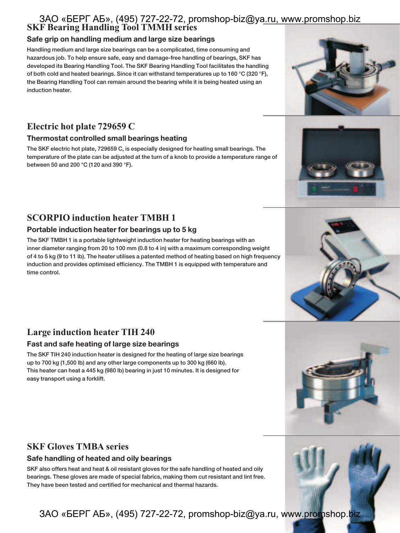### **SKF Bearing Handling Tool TMMH series** ЗАО «БЕРГ АБ», (495) 727-22-72, promshop-biz@ya.ru, www.promshop.biz

### **Safe grip on handling medium and large size bearings**

**Handling medium and large size bearings can be a complicated, time consuming and hazardous job. To help ensure safe, easy and damage-free handling of bearings, SKF has developed its Bearing Handling Tool. The SKF Bearing Handling Tool facilitates the handling of both cold and heated bearings. Since it can withstand temperatures up to 160 °C (320 °F), the Bearing Handling Tool can remain around the bearing while it is being heated using an induction heater.**

# **Electric hot plate 729659 C**

### **Thermostat controlled small bearings heating**

**The SKF electric hot plate, 729659 C, is especially designed for heating small bearings. The temperature of the plate can be adjusted at the turn of a knob to provide a temperature range of between 50 and 200 °C (120 and 390 °F).**

# **SCORPIO induction heater TMBH 1**

### **Portable induction heater for bearings up to 5 kg**

**The SKF TMBH 1 is a portable lightweight induction heater for heating bearings with an inner diameter ranging from 20 to 100 mm (0.8 to 4 in) with a maximum corresponding weight of 4 to 5 kg (9 to 11 lb). The heater utilises a patented method of heating based on high frequency induction and provides optimised efficiency. The TMBH 1 is equipped with temperature and time control.**

# **Large induction heater TIH 240**

### **Fast and safe heating of large size bearings**

**The SKF TIH 240 induction heater is designed for the heating of large size bearings up to 700 kg (1,500 lb) and any other large components up to 300 kg (660 lb). This heater can heat a 445 kg (980 lb) bearing in just 10 minutes. It is designed for easy transport using a forklift.**

### **SKF Gloves TMBA series**

### **Safe handling of heated and oily bearings**

**SKF also offers heat and heat & oil resistant gloves for the safe handling of heated and oily bearings. These gloves are made of special fabrics, making them cut resistant and lint free. They have been tested and certified for mechanical and thermal hazards.**